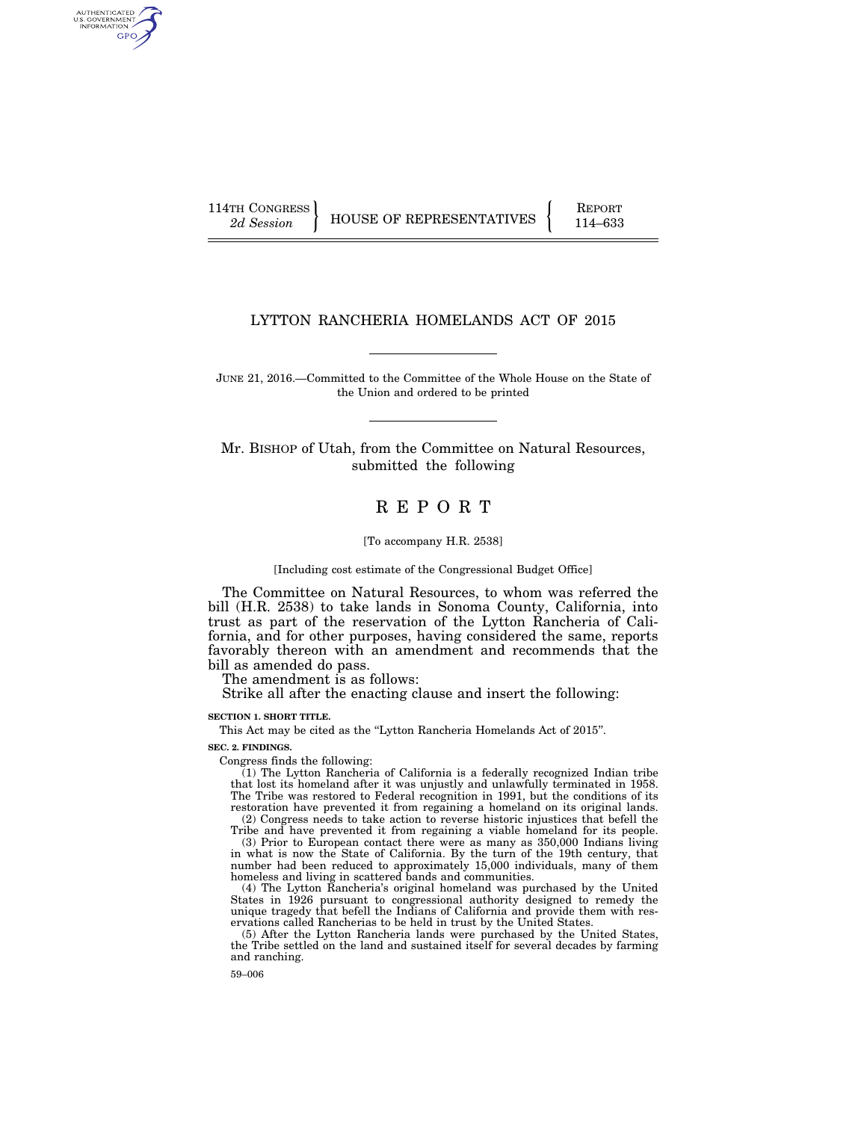AUTHENTICATED U.S. GOVERNMENT GPO

114TH CONGRESS HOUSE OF REPRESENTATIVES FEPORT 114–633

## LYTTON RANCHERIA HOMELANDS ACT OF 2015

JUNE 21, 2016.—Committed to the Committee of the Whole House on the State of the Union and ordered to be printed

Mr. BISHOP of Utah, from the Committee on Natural Resources, submitted the following

# R E P O R T

#### [To accompany H.R. 2538]

[Including cost estimate of the Congressional Budget Office]

The Committee on Natural Resources, to whom was referred the bill (H.R. 2538) to take lands in Sonoma County, California, into trust as part of the reservation of the Lytton Rancheria of California, and for other purposes, having considered the same, reports favorably thereon with an amendment and recommends that the bill as amended do pass.

The amendment is as follows:

Strike all after the enacting clause and insert the following:

#### **SECTION 1. SHORT TITLE.**

This Act may be cited as the "Lytton Rancheria Homelands Act of 2015".

**SEC. 2. FINDINGS.** 

Congress finds the following:

(1) The Lytton Rancheria of California is a federally recognized Indian tribe that lost its homeland after it was unjustly and unlawfully terminated in 1958. The Tribe was restored to Federal recognition in 1991, but the conditions of its restoration have prevented it from regaining a homeland on its original lands. (2) Congress needs to take action to reverse historic injustices that befell the

Tribe and have prevented it from regaining a viable homeland for its people. (3) Prior to European contact there were as many as 350,000 Indians living in what is now the State of California. By the turn of the 19th century, that number had been reduced to approximately 15,000 individuals, many of them homeless and living in scattered bands and communities.

(4) The Lytton Rancheria's original homeland was purchased by the United States in 1926 pursuant to congressional authority designed to remedy the unique tragedy that befell the Indians of California and provide them with reservations called Rancherias to be held in trust by the United States.

(5) After the Lytton Rancheria lands were purchased by the United States, the Tribe settled on the land and sustained itself for several decades by farming and ranching.

59–006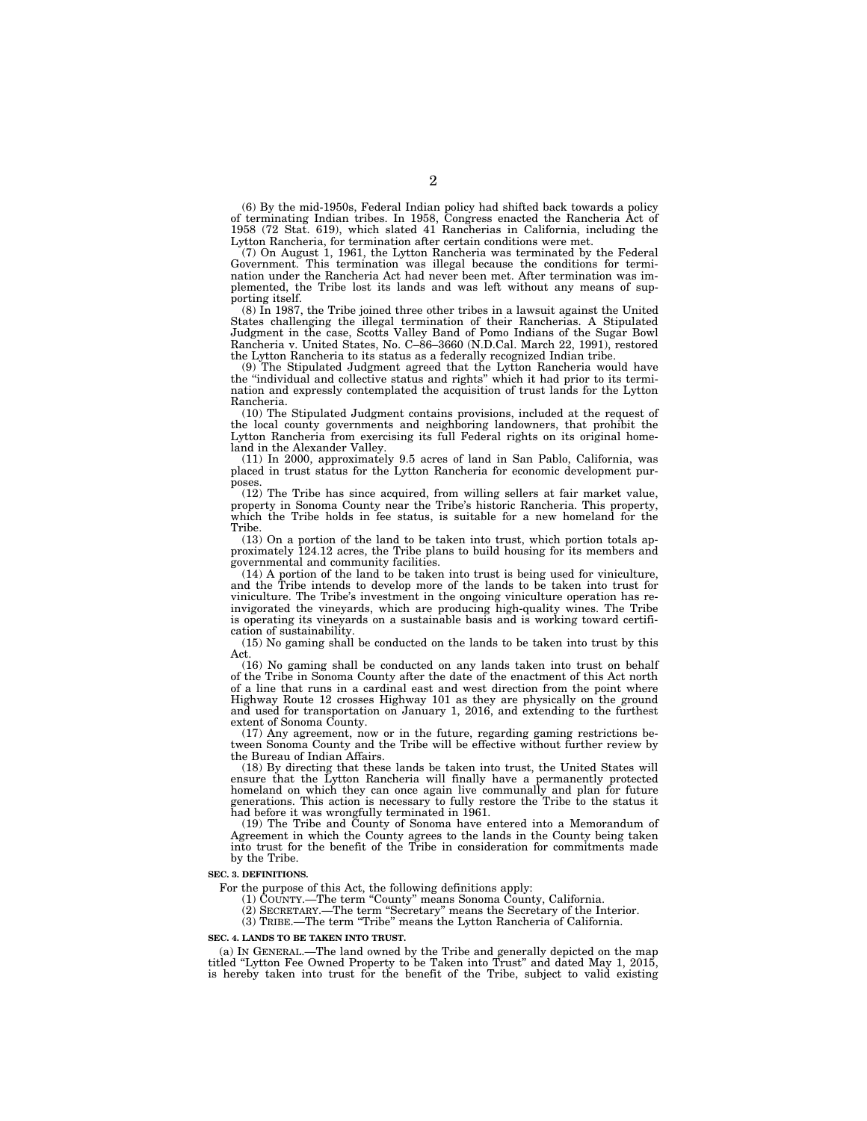(6) By the mid-1950s, Federal Indian policy had shifted back towards a policy of terminating Indian tribes. In 1958, Congress enacted the Rancheria Act of 1958 (72 Stat. 619), which slated 41 Rancherias in California, including the Lytton Rancheria, for termination after certain conditions were met.

(7) On August 1, 1961, the Lytton Rancheria was terminated by the Federal Government. This termination was illegal because the conditions for termination under the Rancheria Act had never been met. After termination was implemented, the Tribe lost its lands and was left without any means of supporting itself.

(8) In 1987, the Tribe joined three other tribes in a lawsuit against the United States challenging the illegal termination of their Rancherias. A Stipulated Judgment in the case, Scotts Valley Band of Pomo Indians of the Sugar Bowl Rancheria v. United States, No. C–86–3660 (N.D.Cal. March 22, 1991), restored the Lytton Rancheria to its status as a federally recognized Indian tribe.

(9) The Stipulated Judgment agreed that the Lytton Rancheria would have the ''individual and collective status and rights'' which it had prior to its termination and expressly contemplated the acquisition of trust lands for the Lytton Rancheria.

(10) The Stipulated Judgment contains provisions, included at the request of the local county governments and neighboring landowners, that prohibit the Lytton Rancheria from exercising its full Federal rights on its original homeland in the Alexander Valley.

(11) In 2000, approximately 9.5 acres of land in San Pablo, California, was placed in trust status for the Lytton Rancheria for economic development purposes.

(12) The Tribe has since acquired, from willing sellers at fair market value, property in Sonoma County near the Tribe's historic Rancheria. This property, which the Tribe holds in fee status, is suitable for a new homeland for the Tribe.

(13) On a portion of the land to be taken into trust, which portion totals approximately 124.12 acres, the Tribe plans to build housing for its members and governmental and community facilities.

(14) A portion of the land to be taken into trust is being used for viniculture, and the Tribe intends to develop more of the lands to be taken into trust for viniculture. The Tribe's investment in the ongoing viniculture operation has reinvigorated the vineyards, which are producing high-quality wines. The Tribe is operating its vineyards on a sustainable basis and is working toward certification of sustainability.

(15) No gaming shall be conducted on the lands to be taken into trust by this Act.

(16) No gaming shall be conducted on any lands taken into trust on behalf of the Tribe in Sonoma County after the date of the enactment of this Act north of a line that runs in a cardinal east and west direction from the point where Highway Route 12 crosses Highway 101 as they are physically on the ground and used for transportation on January 1, 2016, and extending to the furthest extent of Sonoma County.

(17) Any agreement, now or in the future, regarding gaming restrictions between Sonoma County and the Tribe will be effective without further review by the Bureau of Indian Affairs.

(18) By directing that these lands be taken into trust, the United States will ensure that the Lytton Rancheria will finally have a permanently protected homeland on which they can once again live communally and plan for future generations. This action is necessary to fully restore the Tribe to the status it had before it was wrongfully terminated in 1961.

(19) The Tribe and County of Sonoma have entered into a Memorandum of Agreement in which the County agrees to the lands in the County being taken into trust for the benefit of the Tribe in consideration for commitments made by the Tribe.

#### **SEC. 3. DEFINITIONS.**

For the purpose of this Act, the following definitions apply:

(1) COUNTY.—The term ''County'' means Sonoma County, California.

- (2) SECRETARY.—The term ''Secretary'' means the Secretary of the Interior.
- (3) TRIBE.—The term ''Tribe'' means the Lytton Rancheria of California.

#### **SEC. 4. LANDS TO BE TAKEN INTO TRUST.**

(a) IN GENERAL.—The land owned by the Tribe and generally depicted on the map titled "Lytton Fee Owned Property to be Taken into Trust" and dated May 1, 2015, is hereby taken into trust for the benefit of the Tribe, subject to valid existing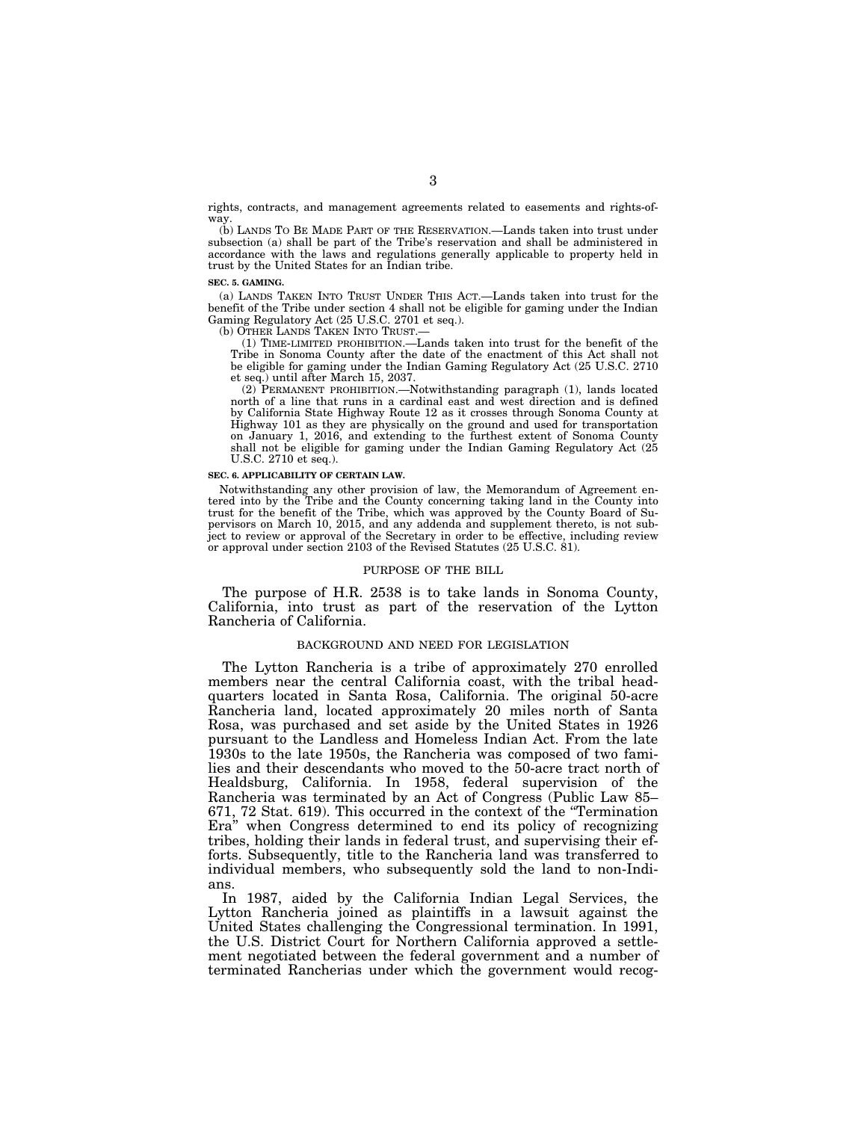rights, contracts, and management agreements related to easements and rights-ofway.

(b) LANDS TO BE MADE PART OF THE RESERVATION.—Lands taken into trust under subsection (a) shall be part of the Tribe's reservation and shall be administered in accordance with the laws and regulations generally applicable to property held in trust by the United States for an Indian tribe.

#### **SEC. 5. GAMING.**

(a) LANDS TAKEN INTO TRUST UNDER THIS ACT.—Lands taken into trust for the benefit of the Tribe under section 4 shall not be eligible for gaming under the Indian Gaming Regulatory Act (25 U.S.C. 2701 et seq.).

(b) OTHER LANDS TAKEN INTO TRUST.—

(1) TIME-LIMITED PROHIBITION.—Lands taken into trust for the benefit of the Tribe in Sonoma County after the date of the enactment of this Act shall not be eligible for gaming under the Indian Gaming Regulatory Act (25 U.S.C. 2710 et seq.) until after March 15, 2037.

(2) PERMANENT PROHIBITION.—Notwithstanding paragraph (1), lands located north of a line that runs in a cardinal east and west direction and is defined by California State Highway Route 12 as it crosses through Sonoma County at Highway 101 as they are physically on the ground and used for transportation on January 1, 2016, and extending to the furthest extent of Sonoma County shall not be eligible for gaming under the Indian Gaming Regulatory Act (25 U.S.C. 2710 et seq.).

#### **SEC. 6. APPLICABILITY OF CERTAIN LAW.**

Notwithstanding any other provision of law, the Memorandum of Agreement entered into by the Tribe and the County concerning taking land in the County into trust for the benefit of the Tribe, which was approved by the County Board of Supervisors on March 10, 2015, and any addenda and supplement thereto, is not subject to review or approval of the Secretary in order to be effective, including review or approval under section 2103 of the Revised Statutes (25 U.S.C. 81).

#### PURPOSE OF THE BILL

The purpose of H.R. 2538 is to take lands in Sonoma County, California, into trust as part of the reservation of the Lytton Rancheria of California.

### BACKGROUND AND NEED FOR LEGISLATION

The Lytton Rancheria is a tribe of approximately 270 enrolled members near the central California coast, with the tribal headquarters located in Santa Rosa, California. The original 50-acre Rancheria land, located approximately 20 miles north of Santa Rosa, was purchased and set aside by the United States in 1926 pursuant to the Landless and Homeless Indian Act. From the late 1930s to the late 1950s, the Rancheria was composed of two families and their descendants who moved to the 50-acre tract north of Healdsburg, California. In 1958, federal supervision of the Rancheria was terminated by an Act of Congress (Public Law 85– 671, 72 Stat. 619). This occurred in the context of the ''Termination Era'' when Congress determined to end its policy of recognizing tribes, holding their lands in federal trust, and supervising their efforts. Subsequently, title to the Rancheria land was transferred to individual members, who subsequently sold the land to non-Indians.

In 1987, aided by the California Indian Legal Services, the Lytton Rancheria joined as plaintiffs in a lawsuit against the United States challenging the Congressional termination. In 1991, the U.S. District Court for Northern California approved a settlement negotiated between the federal government and a number of terminated Rancherias under which the government would recog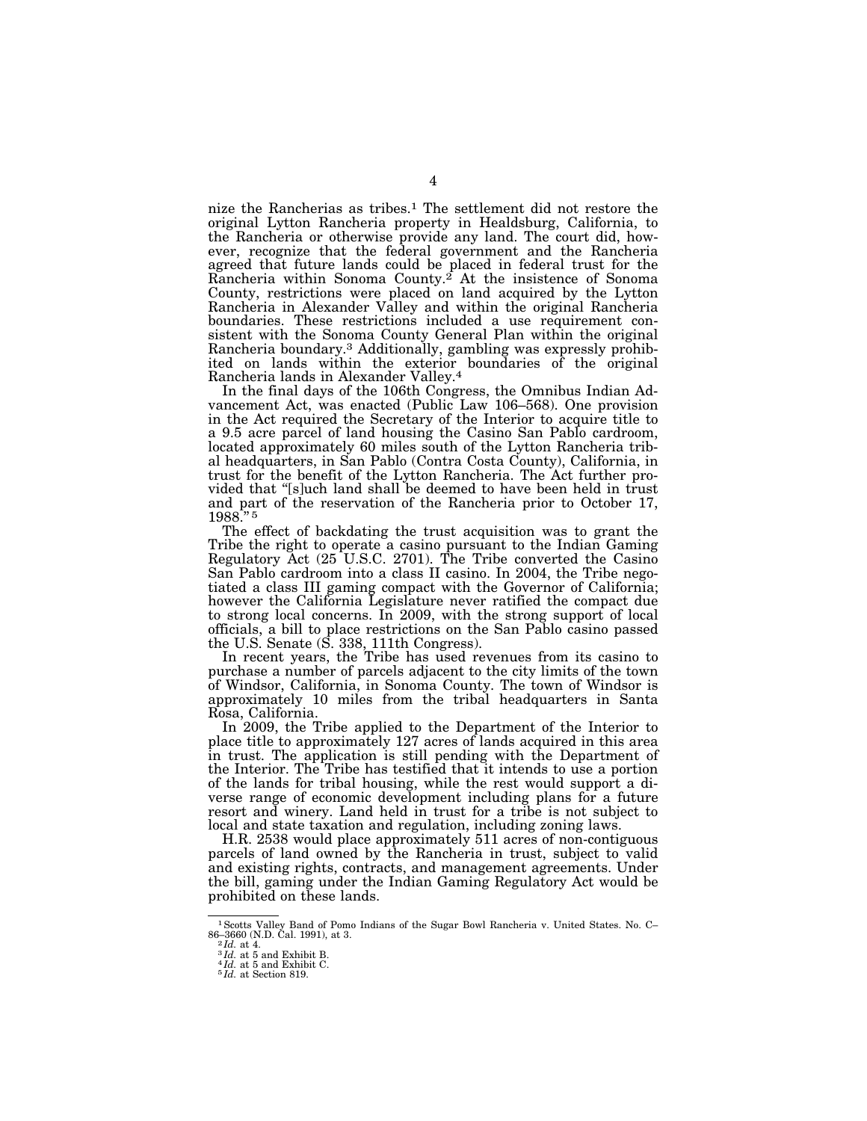nize the Rancherias as tribes.1 The settlement did not restore the original Lytton Rancheria property in Healdsburg, California, to the Rancheria or otherwise provide any land. The court did, however, recognize that the federal government and the Rancheria agreed that future lands could be placed in federal trust for the Rancheria within Sonoma County.<sup>2</sup> At the insistence of Sonoma County, restrictions were placed on land acquired by the Lytton Rancheria in Alexander Valley and within the original Rancheria boundaries. These restrictions included a use requirement consistent with the Sonoma County General Plan within the original Rancheria boundary.3 Additionally, gambling was expressly prohibited on lands within the exterior boundaries of the original Rancheria lands in Alexander Valley.4

In the final days of the 106th Congress, the Omnibus Indian Advancement Act, was enacted (Public Law 106–568). One provision in the Act required the Secretary of the Interior to acquire title to a 9.5 acre parcel of land housing the Casino San Pablo cardroom, located approximately 60 miles south of the Lytton Rancheria tribal headquarters, in San Pablo (Contra Costa County), California, in trust for the benefit of the Lytton Rancheria. The Act further provided that ''[s]uch land shall be deemed to have been held in trust and part of the reservation of the Rancheria prior to October 17, 1988.'' 5

The effect of backdating the trust acquisition was to grant the Tribe the right to operate a casino pursuant to the Indian Gaming Regulatory Act (25 U.S.C. 2701). The Tribe converted the Casino San Pablo cardroom into a class II casino. In 2004, the Tribe negotiated a class III gaming compact with the Governor of California; however the California Legislature never ratified the compact due to strong local concerns. In 2009, with the strong support of local officials, a bill to place restrictions on the San Pablo casino passed the U.S. Senate (S. 338, 111th Congress).

In recent years, the Tribe has used revenues from its casino to purchase a number of parcels adjacent to the city limits of the town of Windsor, California, in Sonoma County. The town of Windsor is approximately 10 miles from the tribal headquarters in Santa Rosa, California.

In 2009, the Tribe applied to the Department of the Interior to place title to approximately 127 acres of lands acquired in this area in trust. The application is still pending with the Department of the Interior. The Tribe has testified that it intends to use a portion of the lands for tribal housing, while the rest would support a diverse range of economic development including plans for a future resort and winery. Land held in trust for a tribe is not subject to local and state taxation and regulation, including zoning laws.

H.R. 2538 would place approximately 511 acres of non-contiguous parcels of land owned by the Rancheria in trust, subject to valid and existing rights, contracts, and management agreements. Under the bill, gaming under the Indian Gaming Regulatory Act would be prohibited on these lands.

<sup>&</sup>lt;sup>1</sup> Scotts Valley Band of Pomo Indians of the Sugar Bowl Rancheria v. United States. No. C–<br>86–3660 (N.D. Cal. 1991), at 3.<br><sup>2</sup>*Id.* at 4.

<sup>&</sup>lt;sup>3</sup>*Id.* at 5 and Exhibit B. <sup>4</sup>*Id.* at 5 and Exhibit C. 5 *Id.* at Section 819.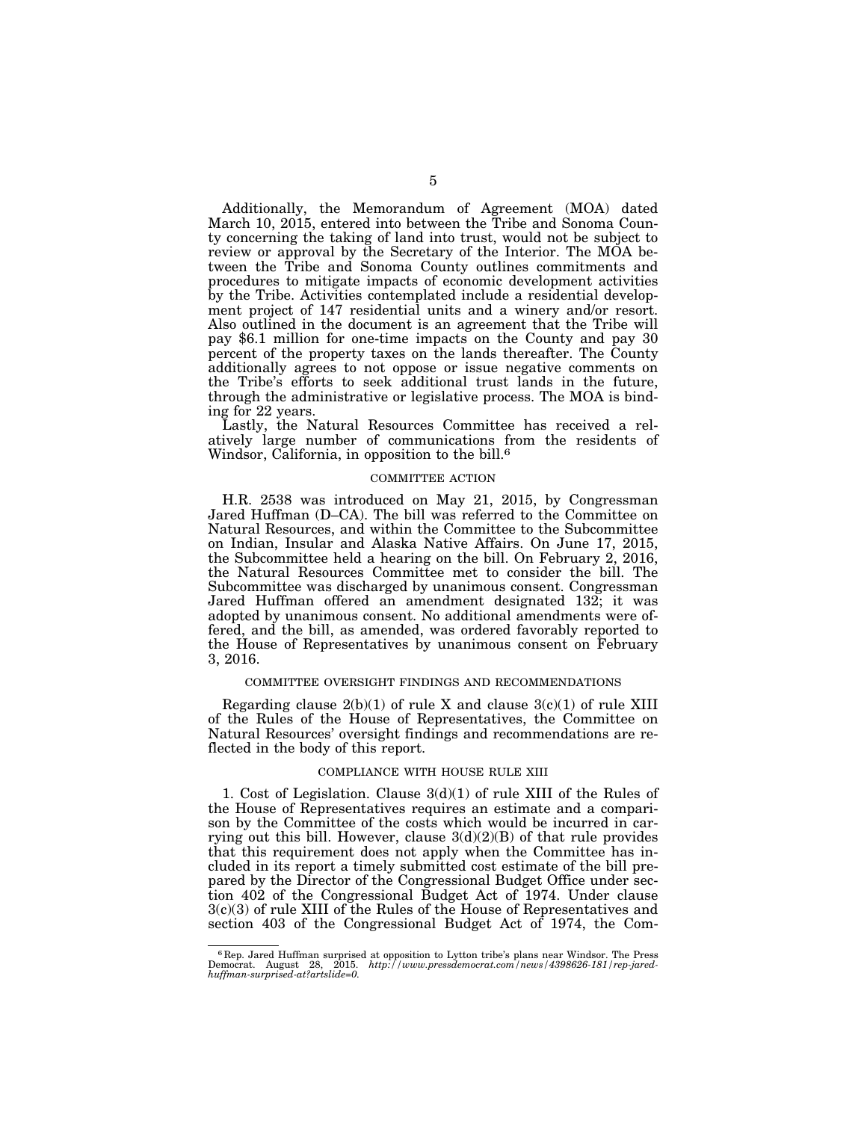Additionally, the Memorandum of Agreement (MOA) dated March 10, 2015, entered into between the Tribe and Sonoma County concerning the taking of land into trust, would not be subject to review or approval by the Secretary of the Interior. The MOA between the Tribe and Sonoma County outlines commitments and procedures to mitigate impacts of economic development activities by the Tribe. Activities contemplated include a residential development project of 147 residential units and a winery and/or resort. Also outlined in the document is an agreement that the Tribe will pay \$6.1 million for one-time impacts on the County and pay 30 percent of the property taxes on the lands thereafter. The County additionally agrees to not oppose or issue negative comments on the Tribe's efforts to seek additional trust lands in the future, through the administrative or legislative process. The MOA is binding for 22 years.

Lastly, the Natural Resources Committee has received a relatively large number of communications from the residents of Windsor, California, in opposition to the bill.<sup>6</sup>

#### COMMITTEE ACTION

H.R. 2538 was introduced on May 21, 2015, by Congressman Jared Huffman (D–CA). The bill was referred to the Committee on Natural Resources, and within the Committee to the Subcommittee on Indian, Insular and Alaska Native Affairs. On June 17, 2015, the Subcommittee held a hearing on the bill. On February 2, 2016, the Natural Resources Committee met to consider the bill. The Subcommittee was discharged by unanimous consent. Congressman Jared Huffman offered an amendment designated 132; it was adopted by unanimous consent. No additional amendments were offered, and the bill, as amended, was ordered favorably reported to the House of Representatives by unanimous consent on February 3, 2016.

#### COMMITTEE OVERSIGHT FINDINGS AND RECOMMENDATIONS

Regarding clause  $2(b)(1)$  of rule X and clause  $3(c)(1)$  of rule XIII of the Rules of the House of Representatives, the Committee on Natural Resources' oversight findings and recommendations are reflected in the body of this report.

### COMPLIANCE WITH HOUSE RULE XIII

1. Cost of Legislation. Clause 3(d)(1) of rule XIII of the Rules of the House of Representatives requires an estimate and a comparison by the Committee of the costs which would be incurred in carrying out this bill. However, clause  $3(d)(2)(B)$  of that rule provides that this requirement does not apply when the Committee has included in its report a timely submitted cost estimate of the bill prepared by the Director of the Congressional Budget Office under section 402 of the Congressional Budget Act of 1974. Under clause 3(c)(3) of rule XIII of the Rules of the House of Representatives and section 403 of the Congressional Budget Act of 1974, the Com-

<sup>&</sup>lt;sup>6</sup> Rep. Jared Huffman surprised at opposition to Lytton tribe's plans near Windsor. The Press Democrat. August 28, 2015. *http://www.pressdemocrat.com/news/4398626-181/rep-jared-huffman-surprised-at?artslide=0.*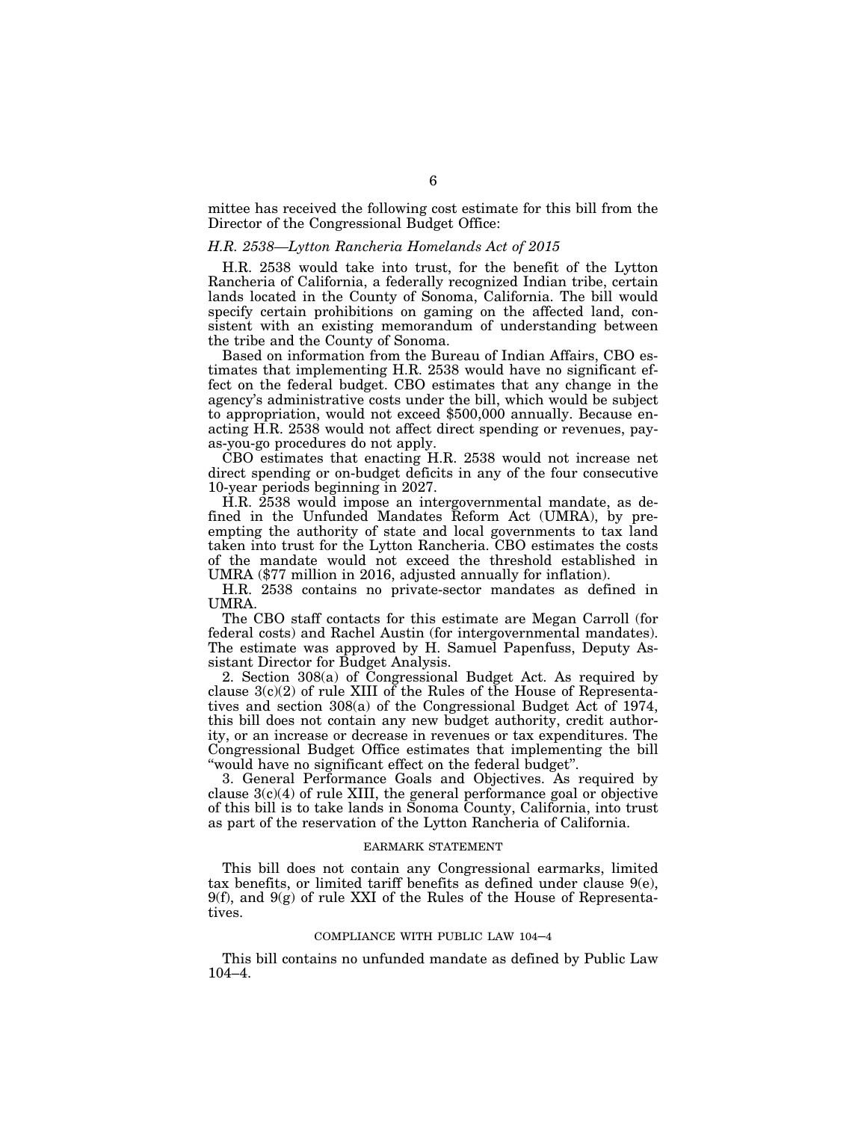mittee has received the following cost estimate for this bill from the Director of the Congressional Budget Office:

### *H.R. 2538—Lytton Rancheria Homelands Act of 2015*

H.R. 2538 would take into trust, for the benefit of the Lytton Rancheria of California, a federally recognized Indian tribe, certain lands located in the County of Sonoma, California. The bill would specify certain prohibitions on gaming on the affected land, consistent with an existing memorandum of understanding between the tribe and the County of Sonoma.

Based on information from the Bureau of Indian Affairs, CBO estimates that implementing H.R. 2538 would have no significant effect on the federal budget. CBO estimates that any change in the agency's administrative costs under the bill, which would be subject to appropriation, would not exceed \$500,000 annually. Because enacting H.R. 2538 would not affect direct spending or revenues, payas-you-go procedures do not apply.

CBO estimates that enacting H.R. 2538 would not increase net direct spending or on-budget deficits in any of the four consecutive 10-year periods beginning in 2027.

H.R. 2538 would impose an intergovernmental mandate, as defined in the Unfunded Mandates Reform Act (UMRA), by preempting the authority of state and local governments to tax land taken into trust for the Lytton Rancheria. CBO estimates the costs of the mandate would not exceed the threshold established in UMRA (\$77 million in 2016, adjusted annually for inflation).

H.R. 2538 contains no private-sector mandates as defined in **UMRA** 

The CBO staff contacts for this estimate are Megan Carroll (for federal costs) and Rachel Austin (for intergovernmental mandates). The estimate was approved by H. Samuel Papenfuss, Deputy Assistant Director for Budget Analysis.

2. Section 308(a) of Congressional Budget Act. As required by clause  $3(c)(2)$  of rule XIII of the Rules of the House of Representatives and section 308(a) of the Congressional Budget Act of 1974, this bill does not contain any new budget authority, credit authority, or an increase or decrease in revenues or tax expenditures. The Congressional Budget Office estimates that implementing the bill ''would have no significant effect on the federal budget''.

3. General Performance Goals and Objectives. As required by clause  $3(c)(4)$  of rule XIII, the general performance goal or objective of this bill is to take lands in Sonoma County, California, into trust as part of the reservation of the Lytton Rancheria of California.

#### EARMARK STATEMENT

This bill does not contain any Congressional earmarks, limited tax benefits, or limited tariff benefits as defined under clause 9(e),  $9(f)$ , and  $9(g)$  of rule XXI of the Rules of the House of Representatives.

#### COMPLIANCE WITH PUBLIC LAW 104–4

This bill contains no unfunded mandate as defined by Public Law 104–4.